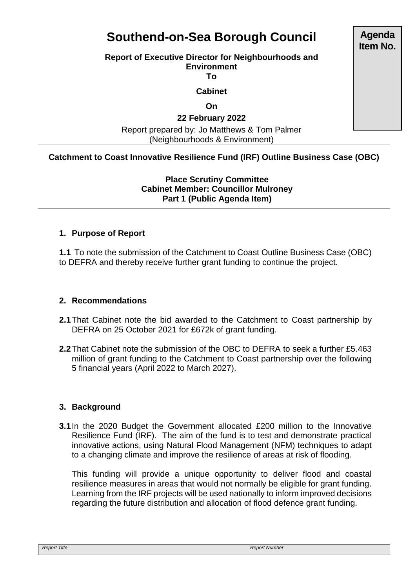# **Southend-on-Sea Borough Council**

#### **Report of Executive Director for Neighbourhoods and Environment**

**To**

#### **Cabinet**

**On**

### **22 February 2022**

Report prepared by: Jo Matthews & Tom Palmer (Neighbourhoods & Environment)

## **Catchment to Coast Innovative Resilience Fund (IRF) Outline Business Case (OBC)**

**Place Scrutiny Committee Cabinet Member: Councillor Mulroney Part 1 (Public Agenda Item)** 

#### **1. Purpose of Report**

**1.1** To note the submission of the Catchment to Coast Outline Business Case (OBC) to DEFRA and thereby receive further grant funding to continue the project.

#### **2. Recommendations**

- **2.1**That Cabinet note the bid awarded to the Catchment to Coast partnership by DEFRA on 25 October 2021 for £672k of grant funding.
- **2.2**That Cabinet note the submission of the OBC to DEFRA to seek a further £5.463 million of grant funding to the Catchment to Coast partnership over the following 5 financial years (April 2022 to March 2027).

## **3. Background**

**3.1**In the 2020 Budget the Government allocated £200 million to the Innovative Resilience Fund (IRF). The aim of the fund is to test and demonstrate practical innovative actions, using Natural Flood Management (NFM) techniques to adapt to a changing climate and improve the resilience of areas at risk of flooding.

This funding will provide a unique opportunity to deliver flood and coastal resilience measures in areas that would not normally be eligible for grant funding. Learning from the IRF projects will be used nationally to inform improved decisions regarding the future distribution and allocation of flood defence grant funding.

**Agenda Item No.**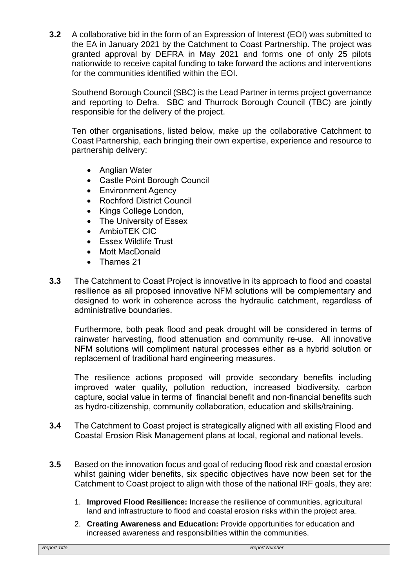**3.2** A collaborative bid in the form of an Expression of Interest (EOI) was submitted to the EA in January 2021 by the Catchment to Coast Partnership. The project was granted approval by DEFRA in May 2021 and forms one of only 25 pilots nationwide to receive capital funding to take forward the actions and interventions for the communities identified within the EOI.

Southend Borough Council (SBC) is the Lead Partner in terms project governance and reporting to Defra. SBC and Thurrock Borough Council (TBC) are jointly responsible for the delivery of the project.

Ten other organisations, listed below, make up the collaborative Catchment to Coast Partnership, each bringing their own expertise, experience and resource to partnership delivery:

- Anglian Water
- Castle Point Borough Council
- Environment Agency
- Rochford District Council
- Kings College London,
- The University of Essex
- AmbioTEK CIC
- Essex Wildlife Trust
- Mott MacDonald
- Thames 21
- **3.3** The Catchment to Coast Project is innovative in its approach to flood and coastal resilience as all proposed innovative NFM solutions will be complementary and designed to work in coherence across the hydraulic catchment, regardless of administrative boundaries.

Furthermore, both peak flood and peak drought will be considered in terms of rainwater harvesting, flood attenuation and community re-use. All innovative NFM solutions will compliment natural processes either as a hybrid solution or replacement of traditional hard engineering measures.

The resilience actions proposed will provide secondary benefits including improved water quality, pollution reduction, increased biodiversity, carbon capture, social value in terms of financial benefit and non-financial benefits such as hydro-citizenship, community collaboration, education and skills/training.

- **3.4** The Catchment to Coast project is strategically aligned with all existing Flood and Coastal Erosion Risk Management plans at local, regional and national levels.
- **3.5** Based on the innovation focus and goal of reducing flood risk and coastal erosion whilst gaining wider benefits, six specific objectives have now been set for the Catchment to Coast project to align with those of the national IRF goals, they are:
	- 1. **Improved Flood Resilience:** Increase the resilience of communities, agricultural land and infrastructure to flood and coastal erosion risks within the project area.
	- 2. **Creating Awareness and Education:** Provide opportunities for education and increased awareness and responsibilities within the communities.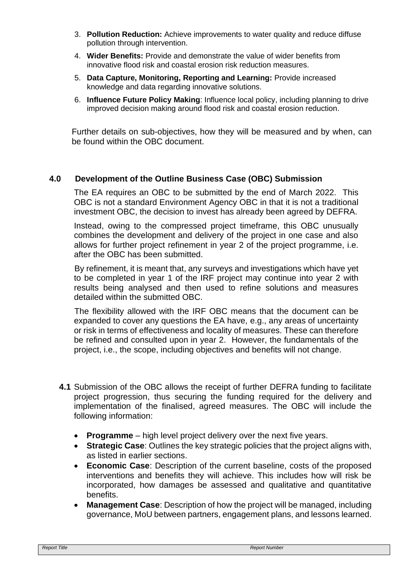- 3. **Pollution Reduction:** Achieve improvements to water quality and reduce diffuse pollution through intervention.
- 4. **Wider Benefits:** Provide and demonstrate the value of wider benefits from innovative flood risk and coastal erosion risk reduction measures.
- 5. **Data Capture, Monitoring, Reporting and Learning:** Provide increased knowledge and data regarding innovative solutions.
- 6. **Influence Future Policy Making**: Influence local policy, including planning to drive improved decision making around flood risk and coastal erosion reduction.

Further details on sub-objectives, how they will be measured and by when, can be found within the OBC document.

## **4.0 Development of the Outline Business Case (OBC) Submission**

The EA requires an OBC to be submitted by the end of March 2022. This OBC is not a standard Environment Agency OBC in that it is not a traditional investment OBC, the decision to invest has already been agreed by DEFRA.

Instead, owing to the compressed project timeframe, this OBC unusually combines the development and delivery of the project in one case and also allows for further project refinement in year 2 of the project programme, i.e. after the OBC has been submitted.

By refinement, it is meant that, any surveys and investigations which have yet to be completed in year 1 of the IRF project may continue into year 2 with results being analysed and then used to refine solutions and measures detailed within the submitted OBC.

The flexibility allowed with the IRF OBC means that the document can be expanded to cover any questions the EA have, e.g., any areas of uncertainty or risk in terms of effectiveness and locality of measures. These can therefore be refined and consulted upon in year 2. However, the fundamentals of the project, i.e., the scope, including objectives and benefits will not change.

- **4.1** Submission of the OBC allows the receipt of further DEFRA funding to facilitate project progression, thus securing the funding required for the delivery and implementation of the finalised, agreed measures. The OBC will include the following information:
	- **Programme** high level project delivery over the next five years.
	- **Strategic Case**: Outlines the key strategic policies that the project aligns with, as listed in earlier sections.
	- **Economic Case**: Description of the current baseline, costs of the proposed interventions and benefits they will achieve. This includes how will risk be incorporated, how damages be assessed and qualitative and quantitative benefits.
	- **Management Case**: Description of how the project will be managed, including governance, MoU between partners, engagement plans, and lessons learned.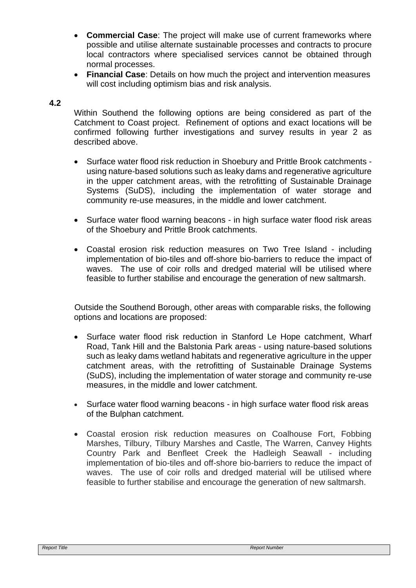- **Commercial Case**: The project will make use of current frameworks where possible and utilise alternate sustainable processes and contracts to procure local contractors where specialised services cannot be obtained through normal processes.
- **Financial Case**: Details on how much the project and intervention measures will cost including optimism bias and risk analysis.

#### **4.2**

Within Southend the following options are being considered as part of the Catchment to Coast project. Refinement of options and exact locations will be confirmed following further investigations and survey results in year 2 as described above.

- Surface water flood risk reduction in Shoebury and Prittle Brook catchments using nature-based solutions such as leaky dams and regenerative agriculture in the upper catchment areas, with the retrofitting of Sustainable Drainage Systems (SuDS), including the implementation of water storage and community re-use measures, in the middle and lower catchment.
- Surface water flood warning beacons in high surface water flood risk areas of the Shoebury and Prittle Brook catchments.
- Coastal erosion risk reduction measures on Two Tree Island including implementation of bio-tiles and off-shore bio-barriers to reduce the impact of waves. The use of coir rolls and dredged material will be utilised where feasible to further stabilise and encourage the generation of new saltmarsh.

Outside the Southend Borough, other areas with comparable risks, the following options and locations are proposed:

- Surface water flood risk reduction in Stanford Le Hope catchment, Wharf Road, Tank Hill and the Balstonia Park areas - using nature-based solutions such as leaky dams wetland habitats and regenerative agriculture in the upper catchment areas, with the retrofitting of Sustainable Drainage Systems (SuDS), including the implementation of water storage and community re-use measures, in the middle and lower catchment.
- Surface water flood warning beacons in high surface water flood risk areas of the Bulphan catchment.
- Coastal erosion risk reduction measures on Coalhouse Fort, Fobbing Marshes, Tilbury, Tilbury Marshes and Castle, The Warren, Canvey Hights Country Park and Benfleet Creek the Hadleigh Seawall - including implementation of bio-tiles and off-shore bio-barriers to reduce the impact of waves. The use of coir rolls and dredged material will be utilised where feasible to further stabilise and encourage the generation of new saltmarsh.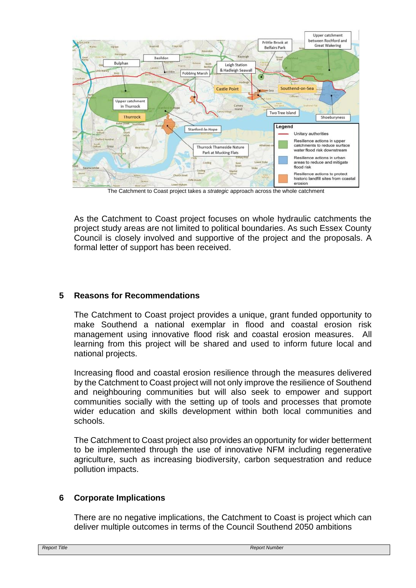

The Catchment to Coast project takes a *strategic* approach across the whole catchment

As the Catchment to Coast project focuses on whole hydraulic catchments the project study areas are not limited to political boundaries. As such Essex County Council is closely involved and supportive of the project and the proposals. A formal letter of support has been received.

#### **5 Reasons for Recommendations**

The Catchment to Coast project provides a unique, grant funded opportunity to make Southend a national exemplar in flood and coastal erosion risk management using innovative flood risk and coastal erosion measures. All learning from this project will be shared and used to inform future local and national projects.

Increasing flood and coastal erosion resilience through the measures delivered by the Catchment to Coast project will not only improve the resilience of Southend and neighbouring communities but will also seek to empower and support communities socially with the setting up of tools and processes that promote wider education and skills development within both local communities and schools.

The Catchment to Coast project also provides an opportunity for wider betterment to be implemented through the use of innovative NFM including regenerative agriculture, such as increasing biodiversity, carbon sequestration and reduce pollution impacts.

#### **6 Corporate Implications**

There are no negative implications, the Catchment to Coast is project which can deliver multiple outcomes in terms of the Council Southend 2050 ambitions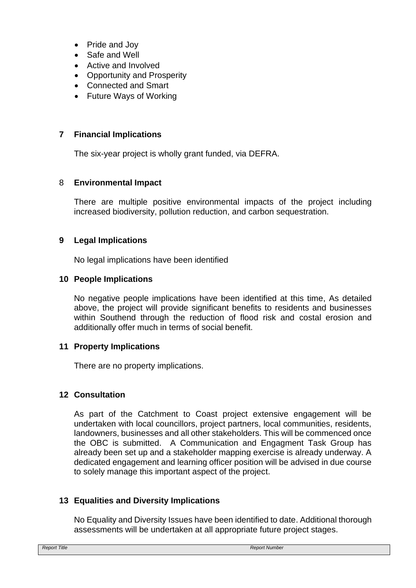- Pride and Joy
- Safe and Well
- Active and Involved
- Opportunity and Prosperity
- Connected and Smart
- Future Ways of Working

#### **7 Financial Implications**

The six-year project is wholly grant funded, via DEFRA.

#### 8 **Environmental Impact**

There are multiple positive environmental impacts of the project including increased biodiversity, pollution reduction, and carbon sequestration.

#### **9 Legal Implications**

No legal implications have been identified

#### **10 People Implications**

No negative people implications have been identified at this time, As detailed above, the project will provide significant benefits to residents and businesses within Southend through the reduction of flood risk and costal erosion and additionally offer much in terms of social benefit.

#### **11 Property Implications**

There are no property implications.

#### **12 Consultation**

As part of the Catchment to Coast project extensive engagement will be undertaken with local councillors, project partners, local communities, residents, landowners, businesses and all other stakeholders. This will be commenced once the OBC is submitted. A Communication and Engagment Task Group has already been set up and a stakeholder mapping exercise is already underway. A dedicated engagement and learning officer position will be advised in due course to solely manage this important aspect of the project.

#### **13 Equalities and Diversity Implications**

No Equality and Diversity Issues have been identified to date. Additional thorough assessments will be undertaken at all appropriate future project stages.